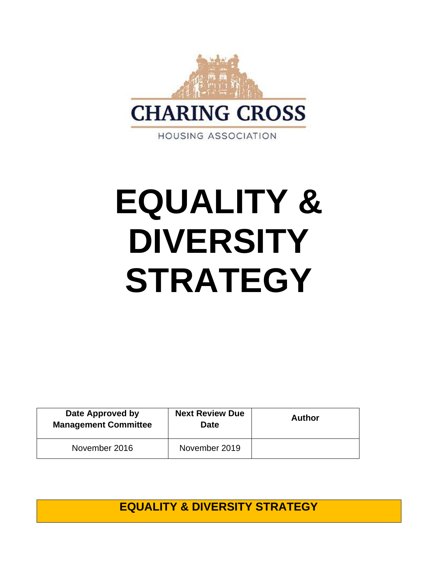

**HOUSING ASSOCIATION** 

# **EQUALITY & DIVERSITY STRATEGY**

| Date Approved by<br><b>Management Committee</b> | <b>Next Review Due</b><br><b>Date</b> | <b>Author</b> |
|-------------------------------------------------|---------------------------------------|---------------|
| November 2016                                   | November 2019                         |               |

**EQUALITY & DIVERSITY STRATEGY**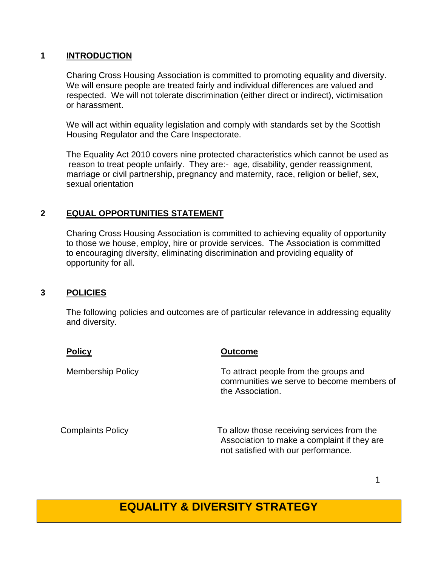#### **1 INTRODUCTION**

Charing Cross Housing Association is committed to promoting equality and diversity. We will ensure people are treated fairly and individual differences are valued and respected. We will not tolerate discrimination (either direct or indirect), victimisation or harassment.

We will act within equality legislation and comply with standards set by the Scottish Housing Regulator and the Care Inspectorate.

The Equality Act 2010 covers nine protected characteristics which cannot be used as reason to treat people unfairly. They are:- age, disability, gender reassignment, marriage or civil partnership, pregnancy and maternity, race, religion or belief, sex, sexual orientation

#### **2 EQUAL OPPORTUNITIES STATEMENT**

Charing Cross Housing Association is committed to achieving equality of opportunity to those we house, employ, hire or provide services. The Association is committed to encouraging diversity, eliminating discrimination and providing equality of opportunity for all.

#### **3 POLICIES**

The following policies and outcomes are of particular relevance in addressing equality and diversity.

| <b>Policy</b>            | <b>Outcome</b>                                                                                         |
|--------------------------|--------------------------------------------------------------------------------------------------------|
| <b>Membership Policy</b> | To attract people from the groups and<br>communities we serve to become members of<br>the Association. |
| <b>Complaints Policy</b> | To allow those receiving services from the                                                             |

Association to make a complaint if they are not satisfied with our performance.

1

### **EQUALITY & DIVERSITY STRATEGY**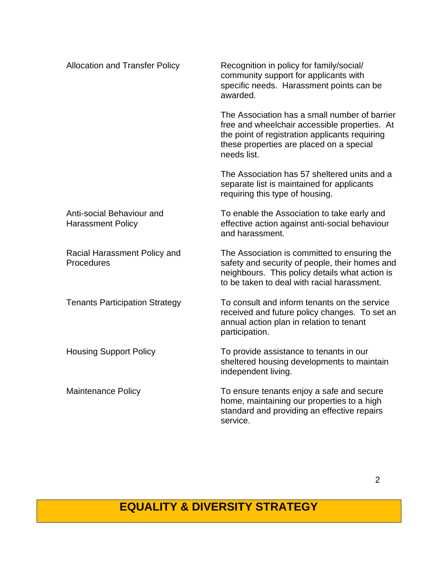| <b>Allocation and Transfer Policy</b>                 | Recognition in policy for family/social/<br>community support for applicants with<br>specific needs. Harassment points can be<br>awarded.                                                                   |
|-------------------------------------------------------|-------------------------------------------------------------------------------------------------------------------------------------------------------------------------------------------------------------|
|                                                       | The Association has a small number of barrier<br>free and wheelchair accessible properties. At<br>the point of registration applicants requiring<br>these properties are placed on a special<br>needs list. |
|                                                       | The Association has 57 sheltered units and a<br>separate list is maintained for applicants<br>requiring this type of housing.                                                                               |
| Anti-social Behaviour and<br><b>Harassment Policy</b> | To enable the Association to take early and<br>effective action against anti-social behaviour<br>and harassment.                                                                                            |
| Racial Harassment Policy and<br>Procedures            | The Association is committed to ensuring the<br>safety and security of people, their homes and<br>neighbours. This policy details what action is<br>to be taken to deal with racial harassment.             |
| <b>Tenants Participation Strategy</b>                 | To consult and inform tenants on the service<br>received and future policy changes. To set an<br>annual action plan in relation to tenant<br>participation.                                                 |
| <b>Housing Support Policy</b>                         | To provide assistance to tenants in our<br>sheltered housing developments to maintain<br>independent living.                                                                                                |
| <b>Maintenance Policy</b>                             | To ensure tenants enjoy a safe and secure<br>home, maintaining our properties to a high<br>standard and providing an effective repairs<br>service.                                                          |

## **EQUALITY & DIVERSITY STRATEGY**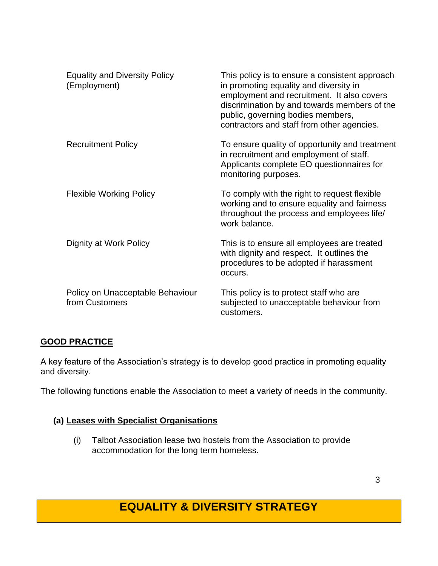| <b>Equality and Diversity Policy</b><br>(Employment) | This policy is to ensure a consistent approach<br>in promoting equality and diversity in<br>employment and recruitment. It also covers<br>discrimination by and towards members of the<br>public, governing bodies members,<br>contractors and staff from other agencies. |
|------------------------------------------------------|---------------------------------------------------------------------------------------------------------------------------------------------------------------------------------------------------------------------------------------------------------------------------|
| <b>Recruitment Policy</b>                            | To ensure quality of opportunity and treatment<br>in recruitment and employment of staff.<br>Applicants complete EO questionnaires for<br>monitoring purposes.                                                                                                            |
| <b>Flexible Working Policy</b>                       | To comply with the right to request flexible<br>working and to ensure equality and fairness<br>throughout the process and employees life/<br>work balance.                                                                                                                |
| Dignity at Work Policy                               | This is to ensure all employees are treated<br>with dignity and respect. It outlines the<br>procedures to be adopted if harassment<br>occurs.                                                                                                                             |
| Policy on Unacceptable Behaviour<br>from Customers   | This policy is to protect staff who are<br>subjected to unacceptable behaviour from<br>customers.                                                                                                                                                                         |

#### **GOOD PRACTICE**

A key feature of the Association's strategy is to develop good practice in promoting equality and diversity.

The following functions enable the Association to meet a variety of needs in the community.

#### **(a) Leases with Specialist Organisations**

 (i) Talbot Association lease two hostels from the Association to provide accommodation for the long term homeless.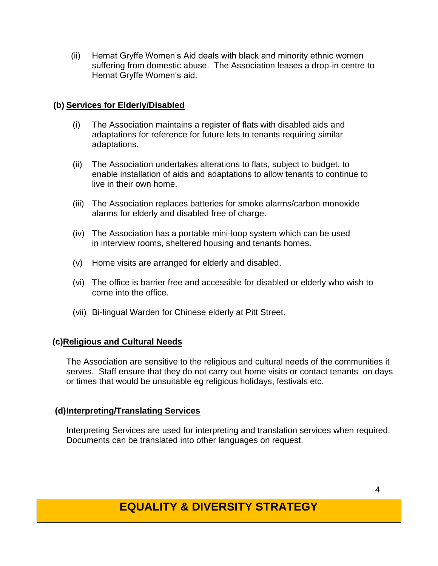(ii) Hemat Gryffe Women's Aid deals with black and minority ethnic women suffering from domestic abuse. The Association leases a drop-in centre to Hemat Gryffe Women's aid.

#### **(b) Services for Elderly/Disabled**

- (i) The Association maintains a register of flats with disabled aids and adaptations for reference for future lets to tenants requiring similar adaptations.
- (ii) The Association undertakes alterations to flats, subject to budget, to enable installation of aids and adaptations to allow tenants to continue to live in their own home.
- (iii) The Association replaces batteries for smoke alarms/carbon monoxide alarms for elderly and disabled free of charge.
- (iv) The Association has a portable mini-loop system which can be used in interview rooms, sheltered housing and tenants homes.
- (v) Home visits are arranged for elderly and disabled.
- (vi) The office is barrier free and accessible for disabled or elderly who wish to come into the office.
- (vii) Bi-lingual Warden for Chinese elderly at Pitt Street.

#### **(c)Religious and Cultural Needs**

The Association are sensitive to the religious and cultural needs of the communities it serves. Staff ensure that they do not carry out home visits or contact tenants on days or times that would be unsuitable eg religious holidays, festivals etc.

#### **(d)Interpreting/Translating Services**

Interpreting Services are used for interpreting and translation services when required. Documents can be translated into other languages on request.